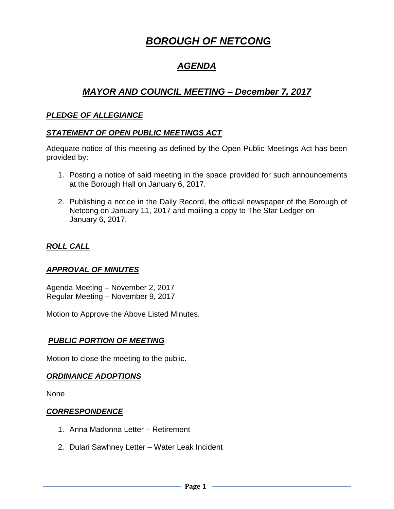# *BOROUGH OF NETCONG*

## *AGENDA*

## *MAYOR AND COUNCIL MEETING – December 7, 2017*

## *PLEDGE OF ALLEGIANCE*

## *STATEMENT OF OPEN PUBLIC MEETINGS ACT*

Adequate notice of this meeting as defined by the Open Public Meetings Act has been provided by:

- 1. Posting a notice of said meeting in the space provided for such announcements at the Borough Hall on January 6, 2017.
- 2. Publishing a notice in the Daily Record, the official newspaper of the Borough of Netcong on January 11, 2017 and mailing a copy to The Star Ledger on January 6, 2017.

## *ROLL CALL*

### *APPROVAL OF MINUTES*

Agenda Meeting – November 2, 2017 Regular Meeting – November 9, 2017

Motion to Approve the Above Listed Minutes.

### *PUBLIC PORTION OF MEETING*

Motion to close the meeting to the public.

### *ORDINANCE ADOPTIONS*

None

### *CORRESPONDENCE*

- 1. Anna Madonna Letter Retirement
- 2. Dulari Sawhney Letter Water Leak Incident